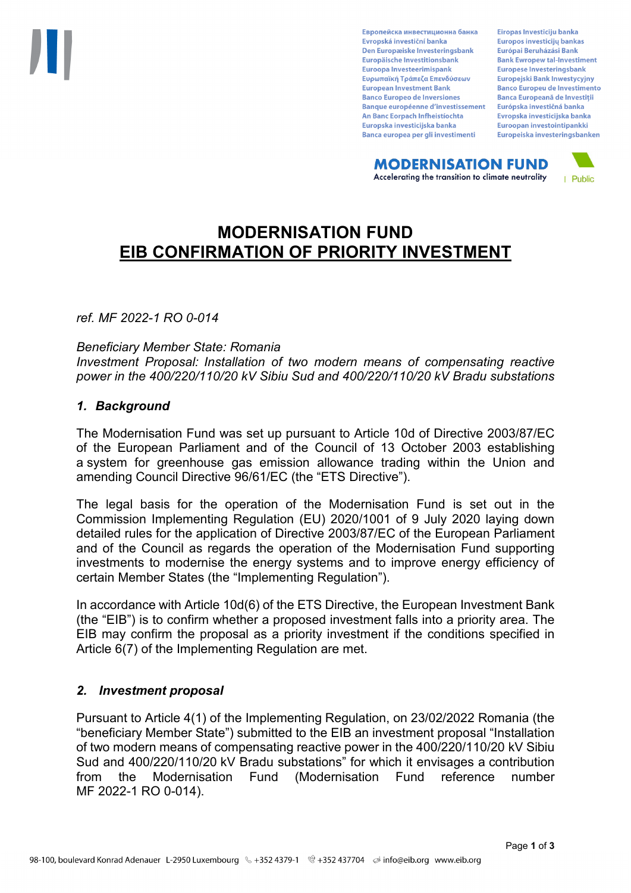Европейска инвестиционна банка Evropská investiční banka Den Europæiske Investeringsbank Europäische Investitionsbank Euroopa Investeerimispank Ευρωπαϊκή Τράπεζα Επενδύσεων **European Investment Bank Banco Europeo de Inversiones Banque européenne d'investissement** An Banc Eorpach Infheistíochta Europska investicijska banka Banca europea per gli investimenti

Eiropas Investīciju banka Europos investicijų bankas Európai Beruházási Bank **Bank Ewropew tal-Investiment** Europese Investeringsbank **Europeiski Bank Inwestycviny Banco Europeu de Investimento Banca Europeană de Investiții** Európska investičná banka Evropska investicijska banka Euroopan investointipankki Europeiska investeringsbanken

**MODERNISATION FUND** Accelerating the transition to climate neutrality



# **MODERNISATION FUND EIB CONFIRMATION OF PRIORITY INVESTMENT**

*ref. MF 2022-1 RO 0-014*

*Beneficiary Member State: Romania*

*Investment Proposal: Installation of two modern means of compensating reactive power in the 400/220/110/20 kV Sibiu Sud and 400/220/110/20 kV Bradu substations*

### *1. Background*

The Modernisation Fund was set up pursuant to Article 10d of Directive 2003/87/EC of the European Parliament and of the Council of 13 October 2003 establishing a system for greenhouse gas emission allowance trading within the Union and amending Council Directive 96/61/EC (the "ETS Directive").

The legal basis for the operation of the Modernisation Fund is set out in the Commission Implementing Regulation (EU) 2020/1001 of 9 July 2020 laying down detailed rules for the application of Directive 2003/87/EC of the European Parliament and of the Council as regards the operation of the Modernisation Fund supporting investments to modernise the energy systems and to improve energy efficiency of certain Member States (the "Implementing Regulation").

In accordance with Article 10d(6) of the ETS Directive, the European Investment Bank (the "EIB") is to confirm whether a proposed investment falls into a priority area. The EIB may confirm the proposal as a priority investment if the conditions specified in Article 6(7) of the Implementing Regulation are met.

# *2. Investment proposal*

Pursuant to Article 4(1) of the Implementing Regulation, on 23/02/2022 Romania (the "beneficiary Member State") submitted to the EIB an investment proposal "Installation of two modern means of compensating reactive power in the 400/220/110/20 kV Sibiu Sud and 400/220/110/20 kV Bradu substations" for which it envisages a contribution from the Modernisation Fund (Modernisation Fund reference number MF 2022-1 RO 0-014).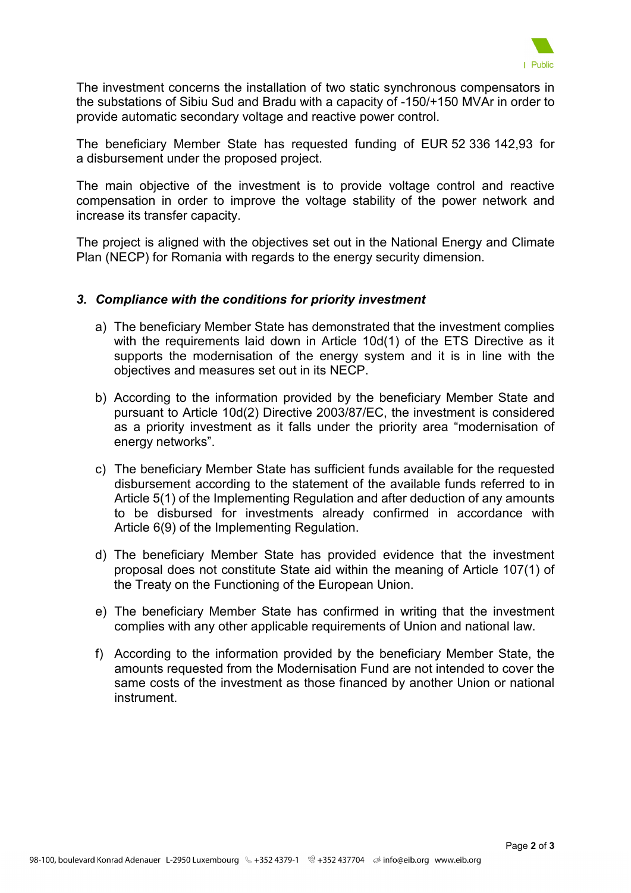

The investment concerns the installation of two static synchronous compensators in the substations of Sibiu Sud and Bradu with a capacity of -150/+150 MVAr in order to provide automatic secondary voltage and reactive power control.

The beneficiary Member State has requested funding of EUR 52 336 142,93 for a disbursement under the proposed project.

The main objective of the investment is to provide voltage control and reactive compensation in order to improve the voltage stability of the power network and increase its transfer capacity.

The project is aligned with the objectives set out in the National Energy and Climate Plan (NECP) for Romania with regards to the energy security dimension.

#### *3. Compliance with the conditions for priority investment*

- a) The beneficiary Member State has demonstrated that the investment complies with the requirements laid down in Article 10d(1) of the ETS Directive as it supports the modernisation of the energy system and it is in line with the objectives and measures set out in its NECP.
- b) According to the information provided by the beneficiary Member State and pursuant to Article 10d(2) Directive 2003/87/EC, the investment is considered as a priority investment as it falls under the priority area "modernisation of energy networks".
- c) The beneficiary Member State has sufficient funds available for the requested disbursement according to the statement of the available funds referred to in Article 5(1) of the Implementing Regulation and after deduction of any amounts to be disbursed for investments already confirmed in accordance with Article 6(9) of the Implementing Regulation.
- d) The beneficiary Member State has provided evidence that the investment proposal does not constitute State aid within the meaning of Article 107(1) of the Treaty on the Functioning of the European Union.
- e) The beneficiary Member State has confirmed in writing that the investment complies with any other applicable requirements of Union and national law.
- f) According to the information provided by the beneficiary Member State, the amounts requested from the Modernisation Fund are not intended to cover the same costs of the investment as those financed by another Union or national instrument.